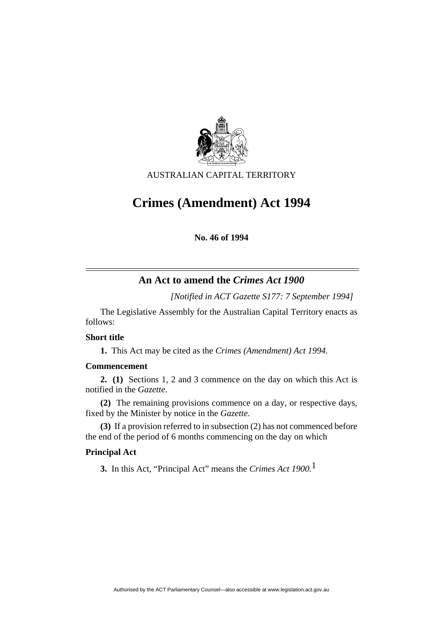

AUSTRALIAN CAPITAL TERRITORY

# **Crimes (Amendment) Act 1994**

**No. 46 of 1994** 

# **An Act to amend the** *Crimes Act 1900*

*[Notified in ACT Gazette S177: 7 September 1994]*

 The Legislative Assembly for the Australian Capital Territory enacts as follows:

# **Short title**

**1.** This Act may be cited as the *Crimes (Amendment) Act 1994.*

# **Commencement**

**2. (1)** Sections 1, 2 and 3 commence on the day on which this Act is notified in the *Gazette*.

**(2)** The remaining provisions commence on a day, or respective days, fixed by the Minister by notice in the *Gazette*.

**(3)** If a provision referred to in subsection (2) has not commenced before the end of the period of 6 months commencing on the day on which

# **Principal Act**

**3.** In this Act, "Principal Act" means the *Crimes Act 1900.*1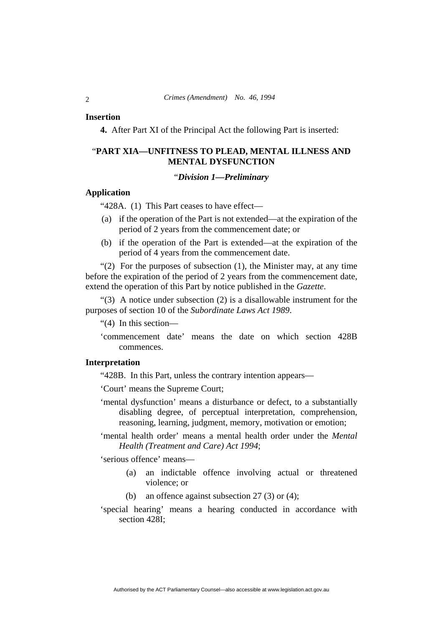#### **Insertion**

**4.** After Part XI of the Principal Act the following Part is inserted:

# "**PART XIA—UNFITNESS TO PLEAD, MENTAL ILLNESS AND MENTAL DYSFUNCTION**

#### "*Division 1—Preliminary*

#### **Application**

"428A. (1) This Part ceases to have effect—

- (a) if the operation of the Part is not extended—at the expiration of the period of 2 years from the commencement date; or
- (b) if the operation of the Part is extended—at the expiration of the period of 4 years from the commencement date.

" $(2)$  For the purposes of subsection  $(1)$ , the Minister may, at any time before the expiration of the period of 2 years from the commencement date, extend the operation of this Part by notice published in the *Gazette*.

"(3) A notice under subsection (2) is a disallowable instrument for the purposes of section 10 of the *Subordinate Laws Act 1989*.

"(4) In this section—

'commencement date' means the date on which section 428B commences.

# **Interpretation**

"428B. In this Part, unless the contrary intention appears—

'Court' means the Supreme Court;

- 'mental dysfunction' means a disturbance or defect, to a substantially disabling degree, of perceptual interpretation, comprehension, reasoning, learning, judgment, memory, motivation or emotion;
- 'mental health order' means a mental health order under the *Mental Health (Treatment and Care) Act 1994*;

'serious offence' means—

- (a) an indictable offence involving actual or threatened violence; or
- (b) an offence against subsection 27 (3) or (4);
- 'special hearing' means a hearing conducted in accordance with section 428I;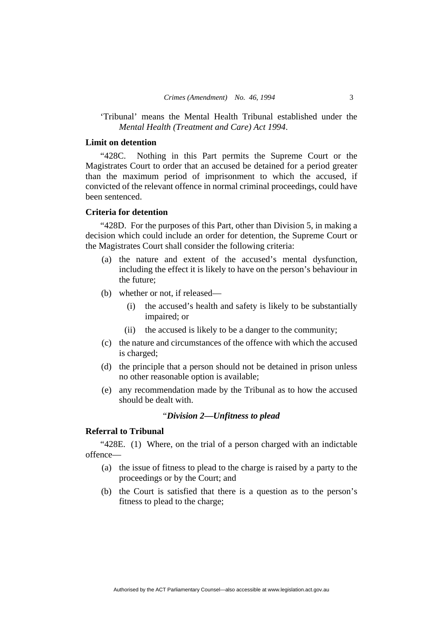## 'Tribunal' means the Mental Health Tribunal established under the *Mental Health (Treatment and Care) Act 1994*.

# **Limit on detention**

"428C. Nothing in this Part permits the Supreme Court or the Magistrates Court to order that an accused be detained for a period greater than the maximum period of imprisonment to which the accused, if convicted of the relevant offence in normal criminal proceedings, could have been sentenced.

#### **Criteria for detention**

"428D. For the purposes of this Part, other than Division 5, in making a decision which could include an order for detention, the Supreme Court or the Magistrates Court shall consider the following criteria:

- (a) the nature and extent of the accused's mental dysfunction, including the effect it is likely to have on the person's behaviour in the future;
- (b) whether or not, if released—
	- (i) the accused's health and safety is likely to be substantially impaired; or
	- (ii) the accused is likely to be a danger to the community;
- (c) the nature and circumstances of the offence with which the accused is charged;
- (d) the principle that a person should not be detained in prison unless no other reasonable option is available;
- (e) any recommendation made by the Tribunal as to how the accused should be dealt with.

#### "*Division 2—Unfitness to plead*

# **Referral to Tribunal**

"428E. (1) Where, on the trial of a person charged with an indictable offence—

- (a) the issue of fitness to plead to the charge is raised by a party to the proceedings or by the Court; and
- (b) the Court is satisfied that there is a question as to the person's fitness to plead to the charge;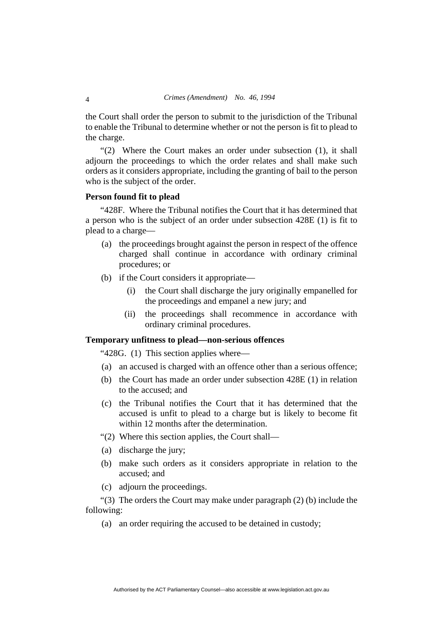the Court shall order the person to submit to the jurisdiction of the Tribunal to enable the Tribunal to determine whether or not the person is fit to plead to the charge.

"(2) Where the Court makes an order under subsection (1), it shall adjourn the proceedings to which the order relates and shall make such orders as it considers appropriate, including the granting of bail to the person who is the subject of the order.

## **Person found fit to plead**

"428F. Where the Tribunal notifies the Court that it has determined that a person who is the subject of an order under subsection 428E (1) is fit to plead to a charge—

- (a) the proceedings brought against the person in respect of the offence charged shall continue in accordance with ordinary criminal procedures; or
- (b) if the Court considers it appropriate—
	- (i) the Court shall discharge the jury originally empanelled for the proceedings and empanel a new jury; and
	- (ii) the proceedings shall recommence in accordance with ordinary criminal procedures.

# **Temporary unfitness to plead—non-serious offences**

"428G. (1) This section applies where—

- (a) an accused is charged with an offence other than a serious offence;
- (b) the Court has made an order under subsection 428E (1) in relation to the accused; and
- (c) the Tribunal notifies the Court that it has determined that the accused is unfit to plead to a charge but is likely to become fit within 12 months after the determination.
- "(2) Where this section applies, the Court shall—
- (a) discharge the jury;
- (b) make such orders as it considers appropriate in relation to the accused; and
- (c) adjourn the proceedings.

"(3) The orders the Court may make under paragraph (2) (b) include the following:

(a) an order requiring the accused to be detained in custody;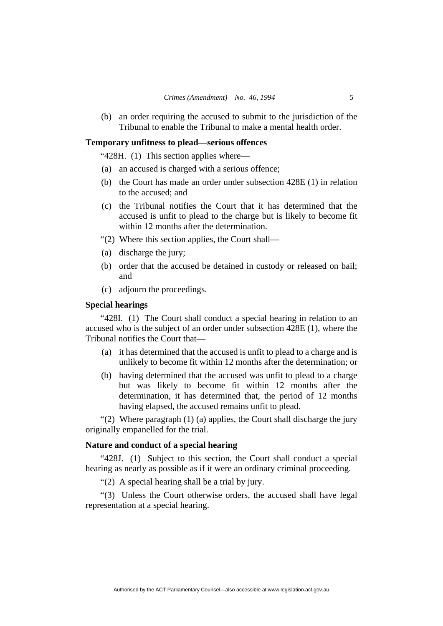(b) an order requiring the accused to submit to the jurisdiction of the Tribunal to enable the Tribunal to make a mental health order.

#### **Temporary unfitness to plead—serious offences**

"428H. (1) This section applies where—

- (a) an accused is charged with a serious offence;
- (b) the Court has made an order under subsection 428E (1) in relation to the accused; and
- (c) the Tribunal notifies the Court that it has determined that the accused is unfit to plead to the charge but is likely to become fit within 12 months after the determination.
- "(2) Where this section applies, the Court shall—
- (a) discharge the jury;
- (b) order that the accused be detained in custody or released on bail; and
- (c) adjourn the proceedings.

# **Special hearings**

"428I. (1) The Court shall conduct a special hearing in relation to an accused who is the subject of an order under subsection 428E (1), where the Tribunal notifies the Court that—

- (a) it has determined that the accused is unfit to plead to a charge and is unlikely to become fit within 12 months after the determination; or
- (b) having determined that the accused was unfit to plead to a charge but was likely to become fit within 12 months after the determination, it has determined that, the period of 12 months having elapsed, the accused remains unfit to plead.

"(2) Where paragraph (1) (a) applies, the Court shall discharge the jury originally empanelled for the trial.

## **Nature and conduct of a special hearing**

"428J. (1) Subject to this section, the Court shall conduct a special hearing as nearly as possible as if it were an ordinary criminal proceeding.

"(2) A special hearing shall be a trial by jury.

"(3) Unless the Court otherwise orders, the accused shall have legal representation at a special hearing.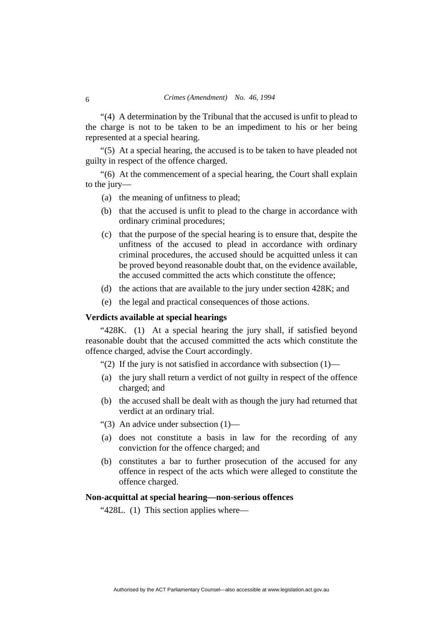"(4)A determination by the Tribunal that the accused is unfit to plead to the charge is not to be taken to be an impediment to his or her being represented at a special hearing.

"(5) At a special hearing, the accused is to be taken to have pleaded not guilty in respect of the offence charged.

"(6)At the commencement of a special hearing, the Court shall explain to the jury—

- (a) the meaning of unfitness to plead;
- (b) that the accused is unfit to plead to the charge in accordance with ordinary criminal procedures;
- (c) that the purpose of the special hearing is to ensure that, despite the unfitness of the accused to plead in accordance with ordinary criminal procedures, the accused should be acquitted unless it can be proved beyond reasonable doubt that, on the evidence available, the accused committed the acts which constitute the offence;
- (d) the actions that are available to the jury under section 428K; and
- (e) the legal and practical consequences of those actions.

#### **Verdicts available at special hearings**

"428K. (1) At a special hearing the jury shall, if satisfied beyond reasonable doubt that the accused committed the acts which constitute the offence charged, advise the Court accordingly.

"(2) If the jury is not satisfied in accordance with subsection  $(1)$ —

- (a) the jury shall return a verdict of not guilty in respect of the offence charged; and
- (b) the accused shall be dealt with as though the jury had returned that verdict at an ordinary trial.
- "(3) An advice under subsection (1)—
- (a) does not constitute a basis in law for the recording of any conviction for the offence charged; and
- (b) constitutes a bar to further prosecution of the accused for any offence in respect of the acts which were alleged to constitute the offence charged.

#### **Non-acquittal at special hearing—non-serious offences**

"428L. (1) This section applies where—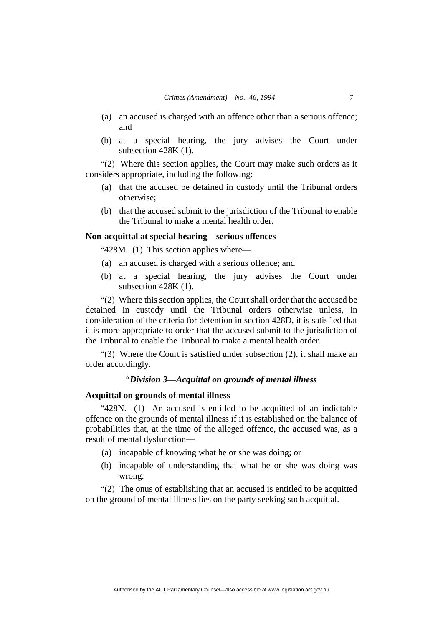- (a) an accused is charged with an offence other than a serious offence; and
- (b) at a special hearing, the jury advises the Court under subsection 428K (1).

"(2) Where this section applies, the Court may make such orders as it considers appropriate, including the following:

- (a) that the accused be detained in custody until the Tribunal orders otherwise;
- (b) that the accused submit to the jurisdiction of the Tribunal to enable the Tribunal to make a mental health order.

# **Non-acquittal at special hearing—serious offences**

"428M. (1) This section applies where—

- (a) an accused is charged with a serious offence; and
- (b) at a special hearing, the jury advises the Court under subsection 428K (1).

"(2) Where this section applies, the Court shall order that the accused be detained in custody until the Tribunal orders otherwise unless, in consideration of the criteria for detention in section 428D, it is satisfied that it is more appropriate to order that the accused submit to the jurisdiction of the Tribunal to enable the Tribunal to make a mental health order.

"(3) Where the Court is satisfied under subsection (2), it shall make an order accordingly.

#### "*Division 3—Acquittal on grounds of mental illness*

## **Acquittal on grounds of mental illness**

"428N. (1) An accused is entitled to be acquitted of an indictable offence on the grounds of mental illness if it is established on the balance of probabilities that, at the time of the alleged offence, the accused was, as a result of mental dysfunction—

- (a) incapable of knowing what he or she was doing; or
- (b) incapable of understanding that what he or she was doing was wrong.

"(2) The onus of establishing that an accused is entitled to be acquitted on the ground of mental illness lies on the party seeking such acquittal.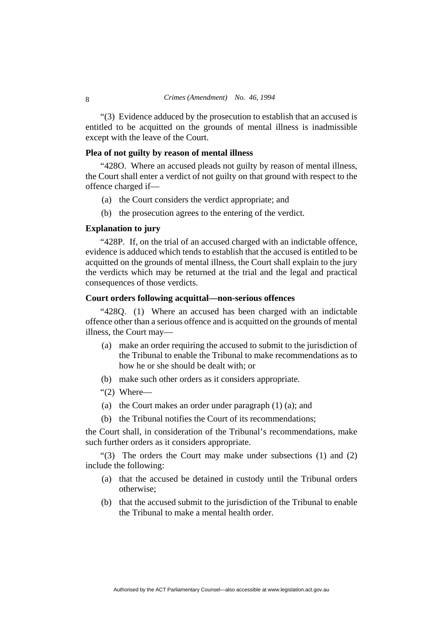"(3) Evidence adduced by the prosecution to establish that an accused is entitled to be acquitted on the grounds of mental illness is inadmissible except with the leave of the Court.

## **Plea of not guilty by reason of mental illness**

"428O. Where an accused pleads not guilty by reason of mental illness, the Court shall enter a verdict of not guilty on that ground with respect to the offence charged if—

- (a) the Court considers the verdict appropriate; and
- (b) the prosecution agrees to the entering of the verdict.

#### **Explanation to jury**

"428P. If, on the trial of an accused charged with an indictable offence, evidence is adduced which tends to establish that the accused is entitled to be acquitted on the grounds of mental illness, the Court shall explain to the jury the verdicts which may be returned at the trial and the legal and practical consequences of those verdicts.

#### **Court orders following acquittal—non-serious offences**

"428Q. (1) Where an accused has been charged with an indictable offence other than a serious offence and is acquitted on the grounds of mental illness, the Court may—

- (a) make an order requiring the accused to submit to the jurisdiction of the Tribunal to enable the Tribunal to make recommendations as to how he or she should be dealt with; or
- (b) make such other orders as it considers appropriate.
- "(2) Where—
- (a) the Court makes an order under paragraph (1) (a); and
- (b) the Tribunal notifies the Court of its recommendations;

the Court shall, in consideration of the Tribunal's recommendations, make such further orders as it considers appropriate.

"(3) The orders the Court may make under subsections (1) and (2) include the following:

- (a) that the accused be detained in custody until the Tribunal orders otherwise;
- (b) that the accused submit to the jurisdiction of the Tribunal to enable the Tribunal to make a mental health order.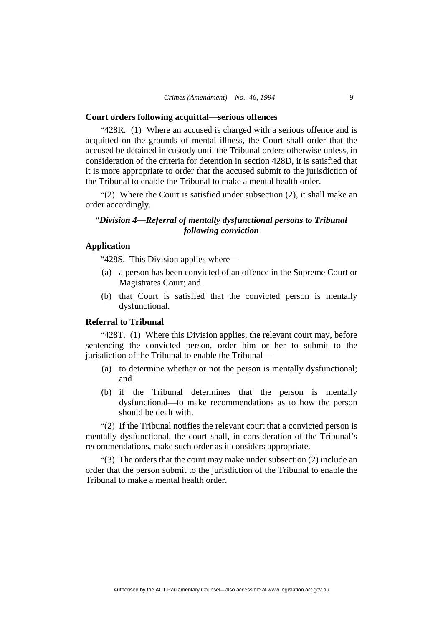#### **Court orders following acquittal—serious offences**

"428R. (1) Where an accused is charged with a serious offence and is acquitted on the grounds of mental illness, the Court shall order that the accused be detained in custody until the Tribunal orders otherwise unless, in consideration of the criteria for detention in section 428D, it is satisfied that it is more appropriate to order that the accused submit to the jurisdiction of the Tribunal to enable the Tribunal to make a mental health order.

"(2) Where the Court is satisfied under subsection (2), it shall make an order accordingly.

# "*Division 4—Referral of mentally dysfunctional persons to Tribunal following conviction*

# **Application**

"428S. This Division applies where—

- (a) a person has been convicted of an offence in the Supreme Court or Magistrates Court; and
- (b) that Court is satisfied that the convicted person is mentally dysfunctional.

# **Referral to Tribunal**

"428T. (1) Where this Division applies, the relevant court may, before sentencing the convicted person, order him or her to submit to the jurisdiction of the Tribunal to enable the Tribunal—

- (a) to determine whether or not the person is mentally dysfunctional; and
- (b) if the Tribunal determines that the person is mentally dysfunctional—to make recommendations as to how the person should be dealt with.

"(2) If the Tribunal notifies the relevant court that a convicted person is mentally dysfunctional, the court shall, in consideration of the Tribunal's recommendations, make such order as it considers appropriate.

"(3) The orders that the court may make under subsection (2) include an order that the person submit to the jurisdiction of the Tribunal to enable the Tribunal to make a mental health order.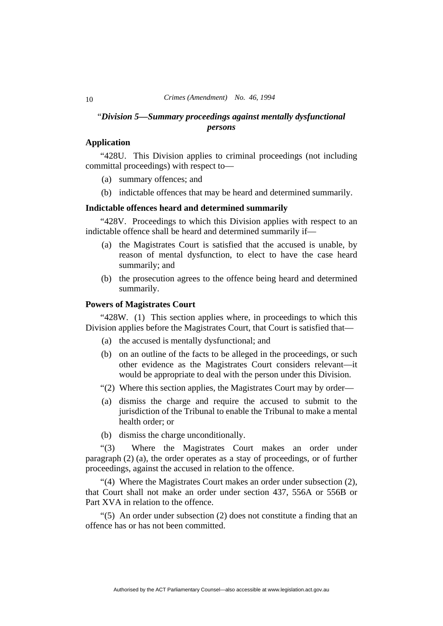# "*Division 5—Summary proceedings against mentally dysfunctional persons*

# **Application**

"428U. This Division applies to criminal proceedings (not including committal proceedings) with respect to—

- (a) summary offences; and
- (b) indictable offences that may be heard and determined summarily.

# **Indictable offences heard and determined summarily**

"428V. Proceedings to which this Division applies with respect to an indictable offence shall be heard and determined summarily if—

- (a) the Magistrates Court is satisfied that the accused is unable, by reason of mental dysfunction, to elect to have the case heard summarily; and
- (b) the prosecution agrees to the offence being heard and determined summarily.

# **Powers of Magistrates Court**

"428W. (1) This section applies where, in proceedings to which this Division applies before the Magistrates Court, that Court is satisfied that—

- (a) the accused is mentally dysfunctional; and
- (b) on an outline of the facts to be alleged in the proceedings, or such other evidence as the Magistrates Court considers relevant—it would be appropriate to deal with the person under this Division.
- "(2) Where this section applies, the Magistrates Court may by order—
- (a) dismiss the charge and require the accused to submit to the jurisdiction of the Tribunal to enable the Tribunal to make a mental health order; or
- (b) dismiss the charge unconditionally.

"(3) Where the Magistrates Court makes an order under paragraph (2) (a), the order operates as a stay of proceedings, or of further proceedings, against the accused in relation to the offence.

"(4) Where the Magistrates Court makes an order under subsection (2), that Court shall not make an order under section 437, 556A or 556B or Part XVA in relation to the offence.

"(5) An order under subsection (2) does not constitute a finding that an offence has or has not been committed.